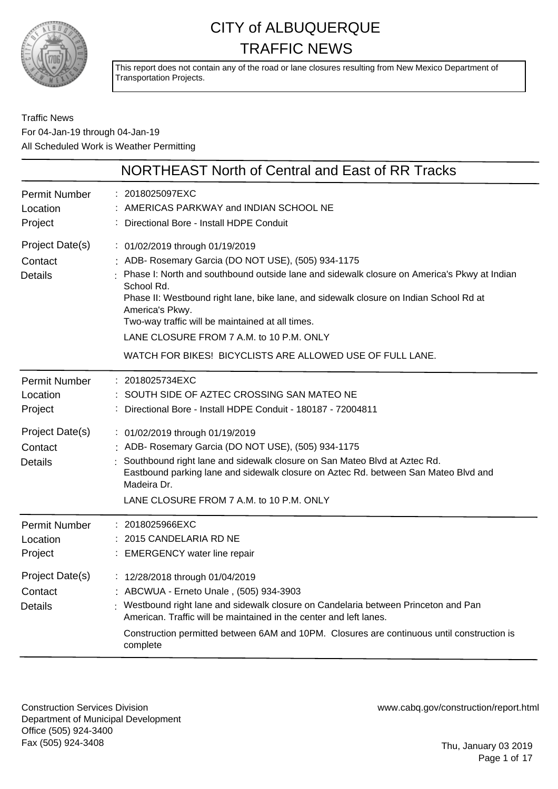

This report does not contain any of the road or lane closures resulting from New Mexico Department of Transportation Projects.

#### Traffic News For 04-Jan-19 through 04-Jan-19 All Scheduled Work is Weather Permitting

|                                              | NORTHEAST North of Central and East of RR Tracks                                                                                                                                                                                                                                                                                                                                                                                                                              |
|----------------------------------------------|-------------------------------------------------------------------------------------------------------------------------------------------------------------------------------------------------------------------------------------------------------------------------------------------------------------------------------------------------------------------------------------------------------------------------------------------------------------------------------|
| <b>Permit Number</b><br>Location<br>Project  | : 2018025097EXC<br>AMERICAS PARKWAY and INDIAN SCHOOL NE<br>Directional Bore - Install HDPE Conduit                                                                                                                                                                                                                                                                                                                                                                           |
| Project Date(s)<br>Contact<br><b>Details</b> | : 01/02/2019 through 01/19/2019<br>: ADB- Rosemary Garcia (DO NOT USE), (505) 934-1175<br>Phase I: North and southbound outside lane and sidewalk closure on America's Pkwy at Indian<br>School Rd.<br>Phase II: Westbound right lane, bike lane, and sidewalk closure on Indian School Rd at<br>America's Pkwy.<br>Two-way traffic will be maintained at all times.<br>LANE CLOSURE FROM 7 A.M. to 10 P.M. ONLY<br>WATCH FOR BIKES! BICYCLISTS ARE ALLOWED USE OF FULL LANE. |
| <b>Permit Number</b><br>Location<br>Project  | : 2018025734EXC<br>SOUTH SIDE OF AZTEC CROSSING SAN MATEO NE<br>Directional Bore - Install HDPE Conduit - 180187 - 72004811                                                                                                                                                                                                                                                                                                                                                   |
| Project Date(s)<br>Contact<br><b>Details</b> | : 01/02/2019 through 01/19/2019<br>: ADB- Rosemary Garcia (DO NOT USE), (505) 934-1175<br>Southbound right lane and sidewalk closure on San Mateo Blvd at Aztec Rd.<br>Eastbound parking lane and sidewalk closure on Aztec Rd. between San Mateo Blvd and<br>Madeira Dr.<br>LANE CLOSURE FROM 7 A.M. to 10 P.M. ONLY                                                                                                                                                         |
| <b>Permit Number</b><br>Location<br>Project  | : 2018025966EXC<br>: 2015 CANDELARIA RD NE<br>: EMERGENCY water line repair                                                                                                                                                                                                                                                                                                                                                                                                   |
| Project Date(s)<br>Contact<br><b>Details</b> | : 12/28/2018 through 01/04/2019<br>: ABCWUA - Erneto Unale, (505) 934-3903<br>: Westbound right lane and sidewalk closure on Candelaria between Princeton and Pan<br>American. Traffic will be maintained in the center and left lanes.<br>Construction permitted between 6AM and 10PM. Closures are continuous until construction is<br>complete                                                                                                                             |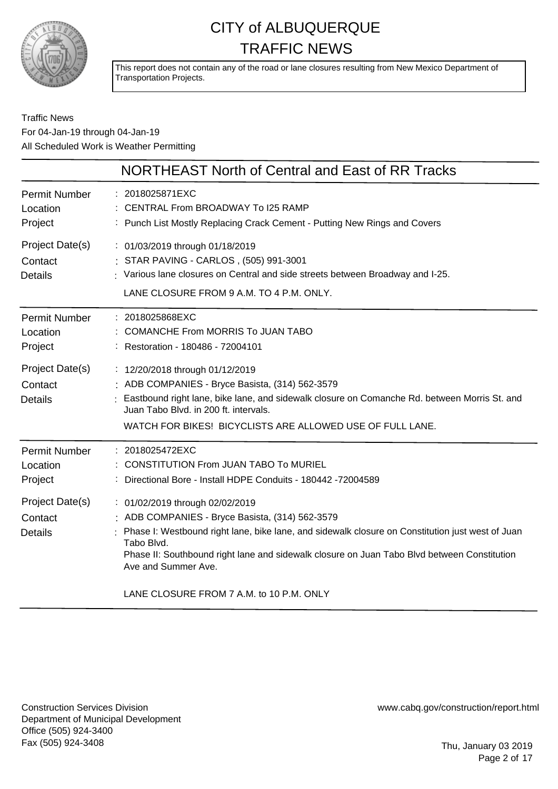

This report does not contain any of the road or lane closures resulting from New Mexico Department of Transportation Projects.

#### Traffic News For 04-Jan-19 through 04-Jan-19 All Scheduled Work is Weather Permitting

|                                              | NORTHEAST North of Central and East of RR Tracks                                                                                                                                                                                                                                                                                                                       |
|----------------------------------------------|------------------------------------------------------------------------------------------------------------------------------------------------------------------------------------------------------------------------------------------------------------------------------------------------------------------------------------------------------------------------|
| Permit Number<br>Location<br>Project         | : 2018025871EXC<br>: CENTRAL From BROADWAY To I25 RAMP<br>: Punch List Mostly Replacing Crack Cement - Putting New Rings and Covers                                                                                                                                                                                                                                    |
| Project Date(s)<br>Contact<br><b>Details</b> | : 01/03/2019 through 01/18/2019<br>: STAR PAVING - CARLOS, (505) 991-3001<br>: Various lane closures on Central and side streets between Broadway and I-25.<br>LANE CLOSURE FROM 9 A.M. TO 4 P.M. ONLY.                                                                                                                                                                |
| Permit Number<br>Location<br>Project         | : 2018025868EXC<br>: COMANCHE From MORRIS To JUAN TABO<br>: Restoration - 180486 - 72004101                                                                                                                                                                                                                                                                            |
| Project Date(s)<br>Contact<br><b>Details</b> | : 12/20/2018 through 01/12/2019<br>: ADB COMPANIES - Bryce Basista, (314) 562-3579<br>Eastbound right lane, bike lane, and sidewalk closure on Comanche Rd. between Morris St. and<br>Juan Tabo Blvd. in 200 ft. intervals.<br>WATCH FOR BIKES! BICYCLISTS ARE ALLOWED USE OF FULL LANE.                                                                               |
| Permit Number<br>Location<br>Project         | : 2018025472EXC<br>CONSTITUTION From JUAN TABO To MURIEL<br>Directional Bore - Install HDPE Conduits - 180442 -72004589                                                                                                                                                                                                                                                |
| Project Date(s)<br>Contact<br><b>Details</b> | : 01/02/2019 through 02/02/2019<br>: ADB COMPANIES - Bryce Basista, (314) 562-3579<br>Phase I: Westbound right lane, bike lane, and sidewalk closure on Constitution just west of Juan<br>Tabo Blvd.<br>Phase II: Southbound right lane and sidewalk closure on Juan Tabo Blvd between Constitution<br>Ave and Summer Ave.<br>LANE CLOSURE FROM 7 A.M. to 10 P.M. ONLY |
|                                              |                                                                                                                                                                                                                                                                                                                                                                        |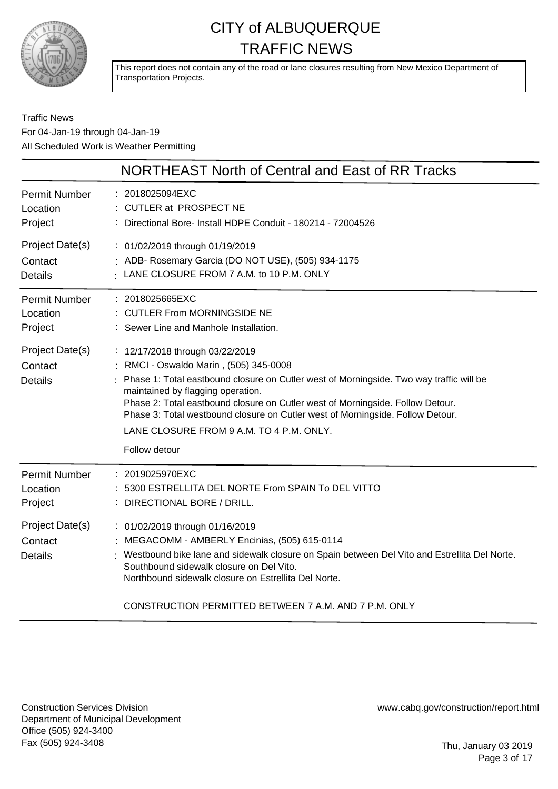

This report does not contain any of the road or lane closures resulting from New Mexico Department of Transportation Projects.

#### Traffic News For 04-Jan-19 through 04-Jan-19 All Scheduled Work is Weather Permitting

|                                              | NORTHEAST North of Central and East of RR Tracks                                                                                                                                                                                                                                                                                                                                                                                           |
|----------------------------------------------|--------------------------------------------------------------------------------------------------------------------------------------------------------------------------------------------------------------------------------------------------------------------------------------------------------------------------------------------------------------------------------------------------------------------------------------------|
| Permit Number                                | : 2018025094EXC                                                                                                                                                                                                                                                                                                                                                                                                                            |
| Location                                     | : CUTLER at PROSPECT NE                                                                                                                                                                                                                                                                                                                                                                                                                    |
| Project                                      | : Directional Bore- Install HDPE Conduit - 180214 - 72004526                                                                                                                                                                                                                                                                                                                                                                               |
| Project Date(s)                              | : 01/02/2019 through 01/19/2019                                                                                                                                                                                                                                                                                                                                                                                                            |
| Contact                                      | : ADB- Rosemary Garcia (DO NOT USE), (505) 934-1175                                                                                                                                                                                                                                                                                                                                                                                        |
| <b>Details</b>                               | : LANE CLOSURE FROM 7 A.M. to 10 P.M. ONLY                                                                                                                                                                                                                                                                                                                                                                                                 |
| Permit Number                                | : 2018025665EXC                                                                                                                                                                                                                                                                                                                                                                                                                            |
| Location                                     | : CUTLER From MORNINGSIDE NE                                                                                                                                                                                                                                                                                                                                                                                                               |
| Project                                      | : Sewer Line and Manhole Installation.                                                                                                                                                                                                                                                                                                                                                                                                     |
| Project Date(s)<br>Contact<br><b>Details</b> | : 12/17/2018 through 03/22/2019<br>: RMCI - Oswaldo Marin, (505) 345-0008<br>Phase 1: Total eastbound closure on Cutler west of Morningside. Two way traffic will be<br>maintained by flagging operation.<br>Phase 2: Total eastbound closure on Cutler west of Morningside. Follow Detour.<br>Phase 3: Total westbound closure on Cutler west of Morningside. Follow Detour.<br>LANE CLOSURE FROM 9 A.M. TO 4 P.M. ONLY.<br>Follow detour |
| <b>Permit Number</b>                         | : 2019025970EXC                                                                                                                                                                                                                                                                                                                                                                                                                            |
| Location                                     | 5300 ESTRELLITA DEL NORTE From SPAIN To DEL VITTO                                                                                                                                                                                                                                                                                                                                                                                          |
| Project                                      | : DIRECTIONAL BORE / DRILL.                                                                                                                                                                                                                                                                                                                                                                                                                |
| Project Date(s)<br>Contact<br><b>Details</b> | : 01/02/2019 through 01/16/2019<br>: MEGACOMM - AMBERLY Encinias, (505) 615-0114<br>: Westbound bike lane and sidewalk closure on Spain between Del Vito and Estrellita Del Norte.<br>Southbound sidewalk closure on Del Vito.<br>Northbound sidewalk closure on Estrellita Del Norte.                                                                                                                                                     |

CONSTRUCTION PERMITTED BETWEEN 7 A.M. AND 7 P.M. ONLY

Construction Services Division Department of Municipal Development Office (505) 924-3400 Fax (505) 924-3408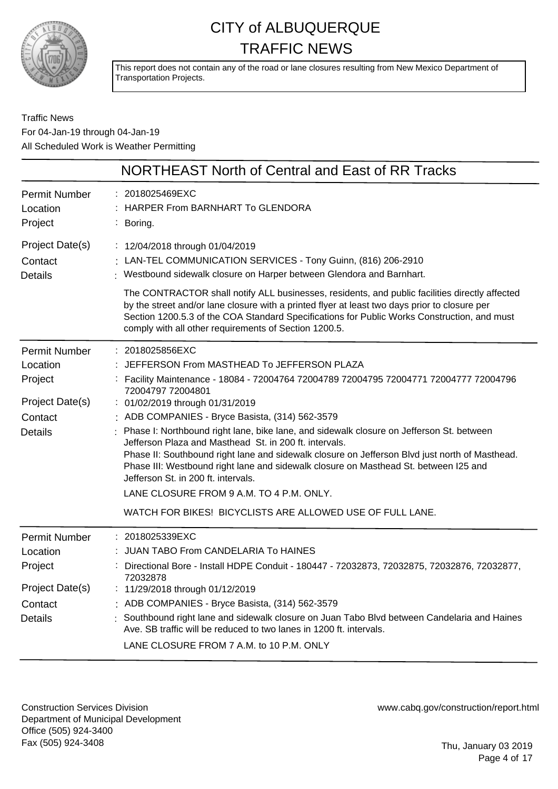

This report does not contain any of the road or lane closures resulting from New Mexico Department of Transportation Projects.

#### Traffic News For 04-Jan-19 through 04-Jan-19 All Scheduled Work is Weather Permitting

|                                                                                             | NORTHEAST North of Central and East of RR Tracks                                                                                                                                                                                                                                                                                                                                                                                                                                                                                                                                                                                                                                                                                                                     |
|---------------------------------------------------------------------------------------------|----------------------------------------------------------------------------------------------------------------------------------------------------------------------------------------------------------------------------------------------------------------------------------------------------------------------------------------------------------------------------------------------------------------------------------------------------------------------------------------------------------------------------------------------------------------------------------------------------------------------------------------------------------------------------------------------------------------------------------------------------------------------|
| <b>Permit Number</b><br>Location<br>Project                                                 | : 2018025469EXC<br><b>HARPER From BARNHART To GLENDORA</b><br>: Boring.                                                                                                                                                                                                                                                                                                                                                                                                                                                                                                                                                                                                                                                                                              |
| Project Date(s)<br>Contact<br><b>Details</b>                                                | : 12/04/2018 through 01/04/2019<br>: LAN-TEL COMMUNICATION SERVICES - Tony Guinn, (816) 206-2910<br>Westbound sidewalk closure on Harper between Glendora and Barnhart.<br>The CONTRACTOR shall notify ALL businesses, residents, and public facilities directly affected<br>by the street and/or lane closure with a printed flyer at least two days prior to closure per<br>Section 1200.5.3 of the COA Standard Specifications for Public Works Construction, and must<br>comply with all other requirements of Section 1200.5.                                                                                                                                                                                                                                   |
| <b>Permit Number</b><br>Location<br>Project<br>Project Date(s)<br>Contact<br><b>Details</b> | : 2018025856EXC<br>: JEFFERSON From MASTHEAD To JEFFERSON PLAZA<br>: Facility Maintenance - 18084 - 72004764 72004789 72004795 72004771 72004777 72004796<br>72004797 72004801<br>: 01/02/2019 through 01/31/2019<br>: ADB COMPANIES - Bryce Basista, (314) 562-3579<br>Phase I: Northbound right lane, bike lane, and sidewalk closure on Jefferson St. between<br>Jefferson Plaza and Masthead St. in 200 ft. intervals.<br>Phase II: Southbound right lane and sidewalk closure on Jefferson Blvd just north of Masthead.<br>Phase III: Westbound right lane and sidewalk closure on Masthead St. between I25 and<br>Jefferson St. in 200 ft. intervals.<br>LANE CLOSURE FROM 9 A.M. TO 4 P.M. ONLY.<br>WATCH FOR BIKES! BICYCLISTS ARE ALLOWED USE OF FULL LANE. |
| <b>Permit Number</b><br>Location<br>Project<br>Project Date(s)<br>Contact<br><b>Details</b> | : 2018025339EXC<br>JUAN TABO From CANDELARIA To HAINES<br>Directional Bore - Install HDPE Conduit - 180447 - 72032873, 72032875, 72032876, 72032877,<br>72032878<br>11/29/2018 through 01/12/2019<br>: ADB COMPANIES - Bryce Basista, (314) 562-3579<br>Southbound right lane and sidewalk closure on Juan Tabo Blvd between Candelaria and Haines<br>Ave. SB traffic will be reduced to two lanes in 1200 ft. intervals.<br>LANE CLOSURE FROM 7 A.M. to 10 P.M. ONLY                                                                                                                                                                                                                                                                                                |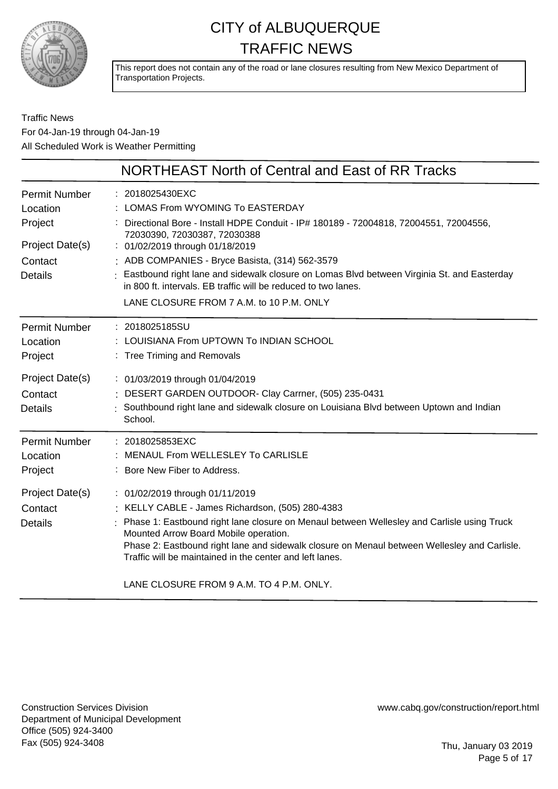

This report does not contain any of the road or lane closures resulting from New Mexico Department of Transportation Projects.

#### Traffic News For 04-Jan-19 through 04-Jan-19 All Scheduled Work is Weather Permitting

|                                                                                      | NORTHEAST North of Central and East of RR Tracks                                                                                                                                                                                                                                                                                                                                                                                                                                 |
|--------------------------------------------------------------------------------------|----------------------------------------------------------------------------------------------------------------------------------------------------------------------------------------------------------------------------------------------------------------------------------------------------------------------------------------------------------------------------------------------------------------------------------------------------------------------------------|
| Permit Number<br>Location<br>Project<br>Project Date(s)<br>Contact<br><b>Details</b> | : 2018025430EXC<br>: LOMAS From WYOMING To EASTERDAY<br>: Directional Bore - Install HDPE Conduit - IP# 180189 - 72004818, 72004551, 72004556,<br>72030390, 72030387, 72030388<br>: 01/02/2019 through 01/18/2019<br>: ADB COMPANIES - Bryce Basista, (314) 562-3579<br>Eastbound right lane and sidewalk closure on Lomas Blvd between Virginia St. and Easterday<br>in 800 ft. intervals. EB traffic will be reduced to two lanes.<br>LANE CLOSURE FROM 7 A.M. to 10 P.M. ONLY |
| Permit Number<br>Location<br>Project                                                 | : 2018025185SU<br>LOUISIANA From UPTOWN To INDIAN SCHOOL<br>: Tree Triming and Removals                                                                                                                                                                                                                                                                                                                                                                                          |
| Project Date(s)<br>Contact<br><b>Details</b>                                         | : 01/03/2019 through 01/04/2019<br>: DESERT GARDEN OUTDOOR- Clay Carrner, (505) 235-0431<br>Southbound right lane and sidewalk closure on Louisiana Blvd between Uptown and Indian<br>School.                                                                                                                                                                                                                                                                                    |
| Permit Number<br>Location<br>Project                                                 | : 2018025853EXC<br>MENAUL From WELLESLEY To CARLISLE<br>: Bore New Fiber to Address.                                                                                                                                                                                                                                                                                                                                                                                             |
| Project Date(s)<br>Contact<br><b>Details</b>                                         | : 01/02/2019 through 01/11/2019<br>: KELLY CABLE - James Richardson, (505) 280-4383<br>Phase 1: Eastbound right lane closure on Menaul between Wellesley and Carlisle using Truck<br>Mounted Arrow Board Mobile operation.<br>Phase 2: Eastbound right lane and sidewalk closure on Menaul between Wellesley and Carlisle.<br>Traffic will be maintained in the center and left lanes.<br>LANE CLOSURE FROM 9 A.M. TO 4 P.M. ONLY.                                               |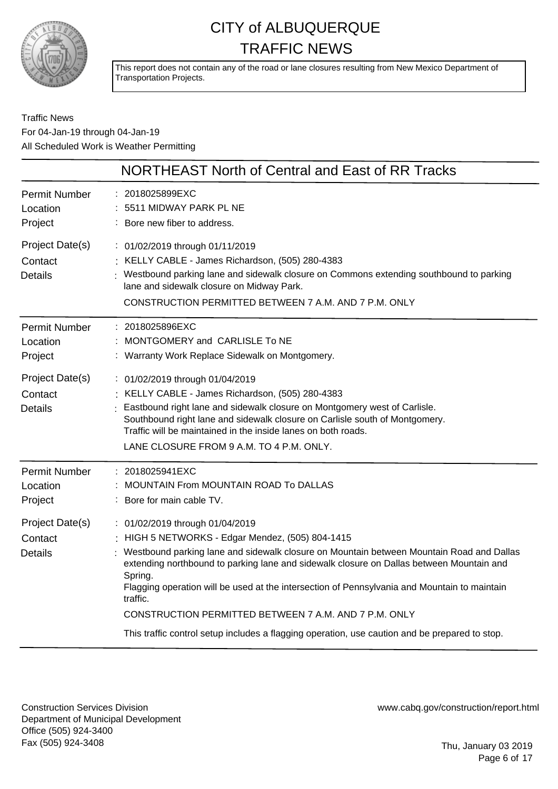

This report does not contain any of the road or lane closures resulting from New Mexico Department of Transportation Projects.

#### Traffic News For 04-Jan-19 through 04-Jan-19 All Scheduled Work is Weather Permitting

|                                              | NORTHEAST North of Central and East of RR Tracks                                                                                                                                                                                                                                                                                                                                                                                                                                                                                                              |
|----------------------------------------------|---------------------------------------------------------------------------------------------------------------------------------------------------------------------------------------------------------------------------------------------------------------------------------------------------------------------------------------------------------------------------------------------------------------------------------------------------------------------------------------------------------------------------------------------------------------|
| <b>Permit Number</b><br>Location<br>Project  | 2018025899EXC<br>5511 MIDWAY PARK PL NE<br>: Bore new fiber to address.                                                                                                                                                                                                                                                                                                                                                                                                                                                                                       |
| Project Date(s)<br>Contact<br><b>Details</b> | : 01/02/2019 through 01/11/2019<br>: KELLY CABLE - James Richardson, (505) 280-4383<br>: Westbound parking lane and sidewalk closure on Commons extending southbound to parking<br>lane and sidewalk closure on Midway Park.<br>CONSTRUCTION PERMITTED BETWEEN 7 A.M. AND 7 P.M. ONLY                                                                                                                                                                                                                                                                         |
| <b>Permit Number</b><br>Location<br>Project  | : 2018025896EXC<br>: MONTGOMERY and CARLISLE To NE<br>: Warranty Work Replace Sidewalk on Montgomery.                                                                                                                                                                                                                                                                                                                                                                                                                                                         |
| Project Date(s)<br>Contact<br><b>Details</b> | : 01/02/2019 through 01/04/2019<br>: KELLY CABLE - James Richardson, (505) 280-4383<br>Eastbound right lane and sidewalk closure on Montgomery west of Carlisle.<br>Southbound right lane and sidewalk closure on Carlisle south of Montgomery.<br>Traffic will be maintained in the inside lanes on both roads.<br>LANE CLOSURE FROM 9 A.M. TO 4 P.M. ONLY.                                                                                                                                                                                                  |
| <b>Permit Number</b><br>Location<br>Project  | 2018025941EXC<br>MOUNTAIN From MOUNTAIN ROAD To DALLAS<br>: Bore for main cable TV.                                                                                                                                                                                                                                                                                                                                                                                                                                                                           |
| Project Date(s)<br>Contact<br><b>Details</b> | : 01/02/2019 through 01/04/2019<br>: HIGH 5 NETWORKS - Edgar Mendez, (505) 804-1415<br>Westbound parking lane and sidewalk closure on Mountain between Mountain Road and Dallas<br>extending northbound to parking lane and sidewalk closure on Dallas between Mountain and<br>Spring.<br>Flagging operation will be used at the intersection of Pennsylvania and Mountain to maintain<br>traffic.<br>CONSTRUCTION PERMITTED BETWEEN 7 A.M. AND 7 P.M. ONLY<br>This traffic control setup includes a flagging operation, use caution and be prepared to stop. |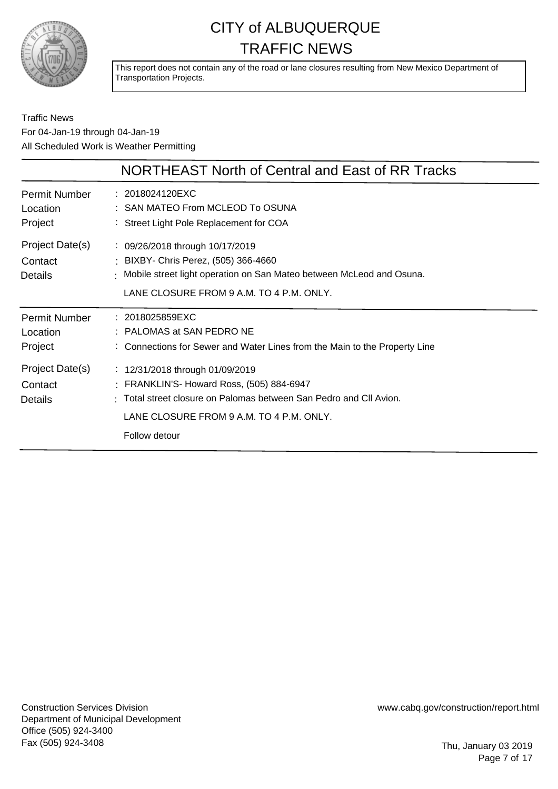

This report does not contain any of the road or lane closures resulting from New Mexico Department of Transportation Projects.

#### Traffic News For 04-Jan-19 through 04-Jan-19 All Scheduled Work is Weather Permitting

|                                              | NORTHEAST North of Central and East of RR Tracks                                                                                                                                                                |
|----------------------------------------------|-----------------------------------------------------------------------------------------------------------------------------------------------------------------------------------------------------------------|
| Permit Number<br>Location<br>Project         | : 2018024120EXC<br>: SAN MATEO From MCLEOD To OSUNA<br>: Street Light Pole Replacement for COA                                                                                                                  |
| Project Date(s)<br>Contact<br><b>Details</b> | $\frac{1}{2}$ 09/26/2018 through 10/17/2019<br>: BIXBY- Chris Perez, (505) 366-4660<br>: Mobile street light operation on San Mateo between McLeod and Osuna.<br>LANE CLOSURE FROM 9 A.M. TO 4 P.M. ONLY.       |
| <b>Permit Number</b><br>Location<br>Project  | : 2018025859EXC<br>: PALOMAS at SAN PEDRO NE<br>: Connections for Sewer and Water Lines from the Main to the Property Line                                                                                      |
| Project Date(s)<br>Contact<br>Details        | : 12/31/2018 through 01/09/2019<br>: FRANKLIN'S- Howard Ross, (505) 884-6947<br>: Total street closure on Palomas between San Pedro and CII Avion.<br>LANE CLOSURE FROM 9 A.M. TO 4 P.M. ONLY.<br>Follow detour |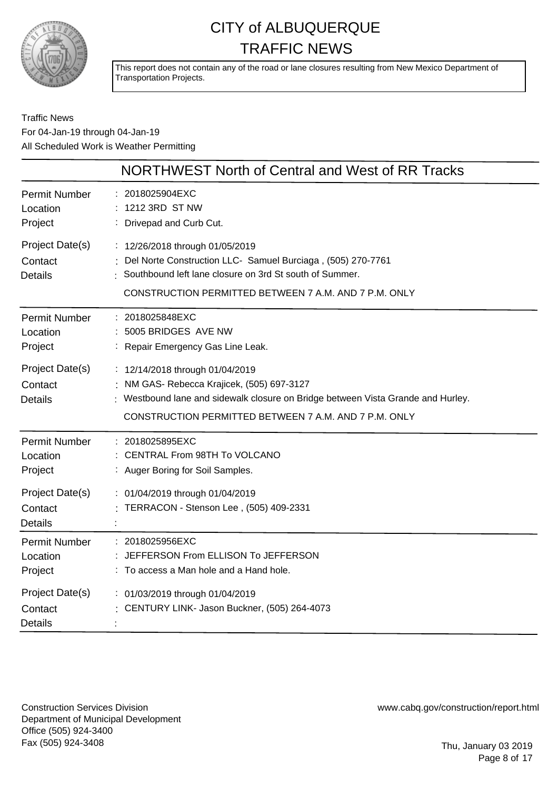

This report does not contain any of the road or lane closures resulting from New Mexico Department of Transportation Projects.

#### Traffic News For 04-Jan-19 through 04-Jan-19 All Scheduled Work is Weather Permitting

|                                              | NORTHWEST North of Central and West of RR Tracks                                                                                                                                                                           |
|----------------------------------------------|----------------------------------------------------------------------------------------------------------------------------------------------------------------------------------------------------------------------------|
| <b>Permit Number</b><br>Location<br>Project  | 2018025904EXC<br>1212 3RD ST NW<br>: Drivepad and Curb Cut.                                                                                                                                                                |
| Project Date(s)<br>Contact<br><b>Details</b> | : 12/26/2018 through 01/05/2019<br>Del Norte Construction LLC- Samuel Burciaga, (505) 270-7761<br>Southbound left lane closure on 3rd St south of Summer.<br>CONSTRUCTION PERMITTED BETWEEN 7 A.M. AND 7 P.M. ONLY         |
| <b>Permit Number</b><br>Location<br>Project  | : 2018025848EXC<br>5005 BRIDGES AVE NW<br>: Repair Emergency Gas Line Leak.                                                                                                                                                |
| Project Date(s)<br>Contact<br><b>Details</b> | : 12/14/2018 through 01/04/2019<br>: NM GAS- Rebecca Krajicek, (505) 697-3127<br>: Westbound lane and sidewalk closure on Bridge between Vista Grande and Hurley.<br>CONSTRUCTION PERMITTED BETWEEN 7 A.M. AND 7 P.M. ONLY |
| <b>Permit Number</b><br>Location<br>Project  | : 2018025895EXC<br>: CENTRAL From 98TH To VOLCANO<br>: Auger Boring for Soil Samples.                                                                                                                                      |
| Project Date(s)<br>Contact<br><b>Details</b> | : 01/04/2019 through 01/04/2019<br>TERRACON - Stenson Lee, (505) 409-2331                                                                                                                                                  |
| <b>Permit Number</b><br>Location<br>Project  | : 2018025956EXC<br>JEFFERSON From ELLISON To JEFFERSON<br>: To access a Man hole and a Hand hole.                                                                                                                          |
| Project Date(s)<br>Contact<br><b>Details</b> | : 01/03/2019 through 01/04/2019<br>CENTURY LINK- Jason Buckner, (505) 264-4073                                                                                                                                             |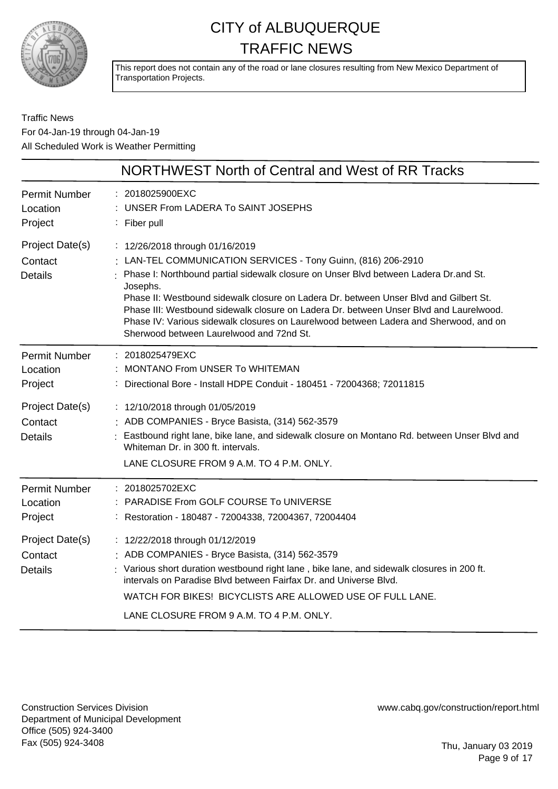

This report does not contain any of the road or lane closures resulting from New Mexico Department of Transportation Projects.

Traffic News For 04-Jan-19 through 04-Jan-19 All Scheduled Work is Weather Permitting

|                                                                                             | NORTHWEST North of Central and West of RR Tracks                                                                                                                                                                                                                                                                                                                                                                                                                                                                               |
|---------------------------------------------------------------------------------------------|--------------------------------------------------------------------------------------------------------------------------------------------------------------------------------------------------------------------------------------------------------------------------------------------------------------------------------------------------------------------------------------------------------------------------------------------------------------------------------------------------------------------------------|
| <b>Permit Number</b><br>Location<br>Project                                                 | : 2018025900EXC<br>: UNSER From LADERA To SAINT JOSEPHS<br>: Fiber pull                                                                                                                                                                                                                                                                                                                                                                                                                                                        |
| Project Date(s)<br>Contact<br><b>Details</b>                                                | : 12/26/2018 through 01/16/2019<br>: LAN-TEL COMMUNICATION SERVICES - Tony Guinn, (816) 206-2910<br>: Phase I: Northbound partial sidewalk closure on Unser Blvd between Ladera Dr.and St.<br>Josephs.<br>Phase II: Westbound sidewalk closure on Ladera Dr. between Unser Blvd and Gilbert St.<br>Phase III: Westbound sidewalk closure on Ladera Dr. between Unser Blvd and Laurelwood.<br>Phase IV: Various sidewalk closures on Laurelwood between Ladera and Sherwood, and on<br>Sherwood between Laurelwood and 72nd St. |
| <b>Permit Number</b><br>Location<br>Project                                                 | : 2018025479EXC<br>: MONTANO From UNSER To WHITEMAN<br>: Directional Bore - Install HDPE Conduit - 180451 - 72004368; 72011815                                                                                                                                                                                                                                                                                                                                                                                                 |
| Project Date(s)<br>Contact<br><b>Details</b>                                                | : 12/10/2018 through 01/05/2019<br>: ADB COMPANIES - Bryce Basista, (314) 562-3579<br>: Eastbound right lane, bike lane, and sidewalk closure on Montano Rd. between Unser Blvd and<br>Whiteman Dr. in 300 ft. intervals.<br>LANE CLOSURE FROM 9 A.M. TO 4 P.M. ONLY.                                                                                                                                                                                                                                                          |
| <b>Permit Number</b><br>Location<br>Project<br>Project Date(s)<br>Contact<br><b>Details</b> | : 2018025702EXC<br>: PARADISE From GOLF COURSE To UNIVERSE<br>: Restoration - 180487 - 72004338, 72004367, 72004404<br>: 12/22/2018 through 01/12/2019<br>: ADB COMPANIES - Bryce Basista, (314) 562-3579<br>: Various short duration westbound right lane, bike lane, and sidewalk closures in 200 ft.<br>intervals on Paradise Blvd between Fairfax Dr. and Universe Blvd.<br>WATCH FOR BIKES! BICYCLISTS ARE ALLOWED USE OF FULL LANE.<br>LANE CLOSURE FROM 9 A.M. TO 4 P.M. ONLY.                                          |

Construction Services Division Department of Municipal Development Office (505) 924-3400 Fax (505) 924-3408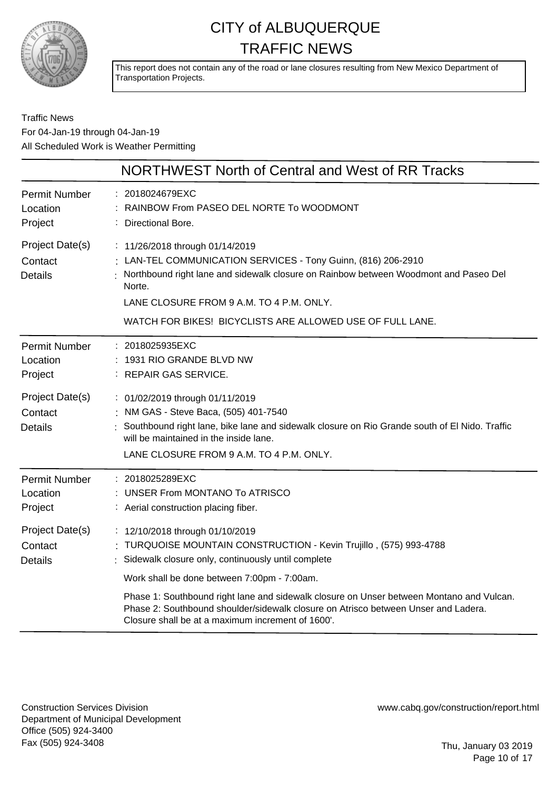

This report does not contain any of the road or lane closures resulting from New Mexico Department of Transportation Projects.

#### Traffic News For 04-Jan-19 through 04-Jan-19 All Scheduled Work is Weather Permitting

|                                              | NORTHWEST North of Central and West of RR Tracks                                                                                                                                                                                                                                                          |
|----------------------------------------------|-----------------------------------------------------------------------------------------------------------------------------------------------------------------------------------------------------------------------------------------------------------------------------------------------------------|
| <b>Permit Number</b><br>Location<br>Project  | 2018024679EXC<br>RAINBOW From PASEO DEL NORTE To WOODMONT<br>Directional Bore.                                                                                                                                                                                                                            |
| Project Date(s)<br>Contact<br><b>Details</b> | : 11/26/2018 through 01/14/2019<br>LAN-TEL COMMUNICATION SERVICES - Tony Guinn, (816) 206-2910<br>Northbound right lane and sidewalk closure on Rainbow between Woodmont and Paseo Del<br>Norte.<br>LANE CLOSURE FROM 9 A.M. TO 4 P.M. ONLY.<br>WATCH FOR BIKES! BICYCLISTS ARE ALLOWED USE OF FULL LANE. |
| <b>Permit Number</b><br>Location<br>Project  | : 2018025935EXC<br>: 1931 RIO GRANDE BLVD NW<br>: REPAIR GAS SERVICE.                                                                                                                                                                                                                                     |
| Project Date(s)<br>Contact<br><b>Details</b> | : 01/02/2019 through 01/11/2019<br>: NM GAS - Steve Baca, (505) 401-7540<br>Southbound right lane, bike lane and sidewalk closure on Rio Grande south of El Nido. Traffic<br>will be maintained in the inside lane.<br>LANE CLOSURE FROM 9 A.M. TO 4 P.M. ONLY.                                           |
| <b>Permit Number</b><br>Location<br>Project  | : 2018025289EXC<br><b>UNSER From MONTANO To ATRISCO</b><br>: Aerial construction placing fiber.                                                                                                                                                                                                           |
| Project Date(s)<br>Contact<br><b>Details</b> | : 12/10/2018 through 01/10/2019<br>TURQUOISE MOUNTAIN CONSTRUCTION - Kevin Trujillo, (575) 993-4788<br>Sidewalk closure only, continuously until complete<br>Work shall be done between 7:00pm - 7:00am.<br>Phase 1: Southbound right lane and sidewalk closure on Unser between Montano and Vulcan.      |
|                                              | Phase 2: Southbound shoulder/sidewalk closure on Atrisco between Unser and Ladera.<br>Closure shall be at a maximum increment of 1600'.                                                                                                                                                                   |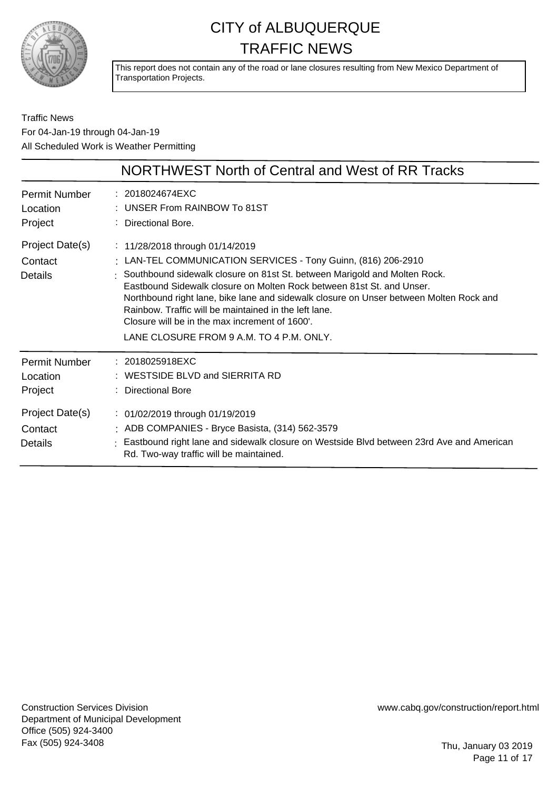

This report does not contain any of the road or lane closures resulting from New Mexico Department of Transportation Projects.

Traffic News For 04-Jan-19 through 04-Jan-19 All Scheduled Work is Weather Permitting

|                                             | NORTHWEST North of Central and West of RR Tracks                                                                                                                                                                                                                                                                                                                                                                                                                                                          |
|---------------------------------------------|-----------------------------------------------------------------------------------------------------------------------------------------------------------------------------------------------------------------------------------------------------------------------------------------------------------------------------------------------------------------------------------------------------------------------------------------------------------------------------------------------------------|
| <b>Permit Number</b><br>Location<br>Project | : 2018024674EXC<br>: UNSER From RAINBOW To 81ST<br>Directional Bore.                                                                                                                                                                                                                                                                                                                                                                                                                                      |
| Project Date(s)<br>Contact<br>Details       | : 11/28/2018 through 01/14/2019<br>: LAN-TEL COMMUNICATION SERVICES - Tony Guinn, (816) 206-2910<br>: Southbound sidewalk closure on 81st St. between Marigold and Molten Rock.<br>Eastbound Sidewalk closure on Molten Rock between 81st St. and Unser.<br>Northbound right lane, bike lane and sidewalk closure on Unser between Molten Rock and<br>Rainbow. Traffic will be maintained in the left lane.<br>Closure will be in the max increment of 1600'.<br>LANE CLOSURE FROM 9 A.M. TO 4 P.M. ONLY. |
| <b>Permit Number</b><br>Location<br>Project | : 2018025918EXC<br>: WESTSIDE BLVD and SIERRITA RD<br>: Directional Bore                                                                                                                                                                                                                                                                                                                                                                                                                                  |
| Project Date(s)<br>Contact<br>Details       | : 01/02/2019 through 01/19/2019<br>: ADB COMPANIES - Bryce Basista, (314) 562-3579<br>: Eastbound right lane and sidewalk closure on Westside Blvd between 23rd Ave and American<br>Rd. Two-way traffic will be maintained.                                                                                                                                                                                                                                                                               |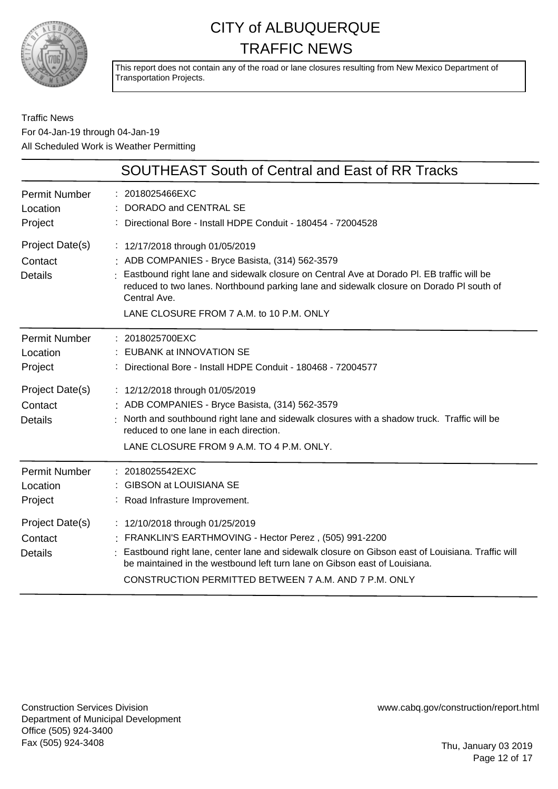

This report does not contain any of the road or lane closures resulting from New Mexico Department of Transportation Projects.

Traffic News For 04-Jan-19 through 04-Jan-19 All Scheduled Work is Weather Permitting

|                                              | <b>SOUTHEAST South of Central and East of RR Tracks</b>                                                                                                                                                                                                                                                                               |
|----------------------------------------------|---------------------------------------------------------------------------------------------------------------------------------------------------------------------------------------------------------------------------------------------------------------------------------------------------------------------------------------|
| <b>Permit Number</b><br>Location<br>Project  | 2018025466EXC<br>DORADO and CENTRAL SE<br>Directional Bore - Install HDPE Conduit - 180454 - 72004528                                                                                                                                                                                                                                 |
| Project Date(s)<br>Contact<br><b>Details</b> | : 12/17/2018 through 01/05/2019<br>ADB COMPANIES - Bryce Basista, (314) 562-3579<br>Eastbound right lane and sidewalk closure on Central Ave at Dorado PI. EB traffic will be<br>reduced to two lanes. Northbound parking lane and sidewalk closure on Dorado PI south of<br>Central Ave.<br>LANE CLOSURE FROM 7 A.M. to 10 P.M. ONLY |
| <b>Permit Number</b><br>Location<br>Project  | : 2018025700EXC<br>EUBANK at INNOVATION SE<br>Directional Bore - Install HDPE Conduit - 180468 - 72004577                                                                                                                                                                                                                             |
| Project Date(s)<br>Contact<br><b>Details</b> | : 12/12/2018 through 01/05/2019<br>ADB COMPANIES - Bryce Basista, (314) 562-3579<br>North and southbound right lane and sidewalk closures with a shadow truck. Traffic will be<br>reduced to one lane in each direction.<br>LANE CLOSURE FROM 9 A.M. TO 4 P.M. ONLY.                                                                  |
| <b>Permit Number</b><br>Location<br>Project  | : 2018025542EXC<br><b>GIBSON at LOUISIANA SE</b><br>: Road Infrasture Improvement.                                                                                                                                                                                                                                                    |
| Project Date(s)<br>Contact<br><b>Details</b> | : 12/10/2018 through 01/25/2019<br>FRANKLIN'S EARTHMOVING - Hector Perez, (505) 991-2200<br>Eastbound right lane, center lane and sidewalk closure on Gibson east of Louisiana. Traffic will<br>be maintained in the westbound left turn lane on Gibson east of Louisiana.<br>CONSTRUCTION PERMITTED BETWEEN 7 A.M. AND 7 P.M. ONLY   |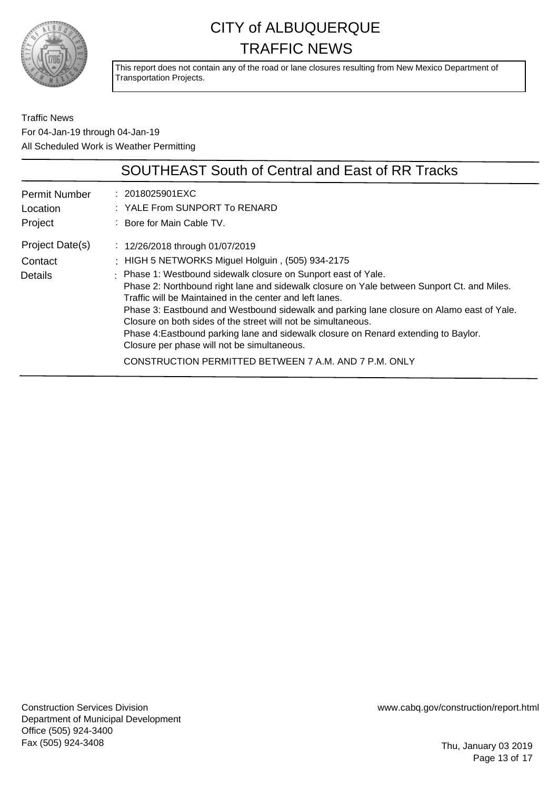

This report does not contain any of the road or lane closures resulting from New Mexico Department of Transportation Projects.

Traffic News For 04-Jan-19 through 04-Jan-19 All Scheduled Work is Weather Permitting

|                                             | <b>SOUTHEAST South of Central and East of RR Tracks</b>                                                                                                                                                                                                                                                                                                                                                                                                                                                                      |
|---------------------------------------------|------------------------------------------------------------------------------------------------------------------------------------------------------------------------------------------------------------------------------------------------------------------------------------------------------------------------------------------------------------------------------------------------------------------------------------------------------------------------------------------------------------------------------|
| <b>Permit Number</b><br>Location<br>Project | $: 2018025901 \text{EXC}$<br>: YALE From SUNPORT To RENARD<br>: Bore for Main Cable TV.                                                                                                                                                                                                                                                                                                                                                                                                                                      |
| Project Date(s)<br>Contact                  | : $12/26/2018$ through 01/07/2019<br>: HIGH 5 NETWORKS Miguel Holguin, (505) 934-2175                                                                                                                                                                                                                                                                                                                                                                                                                                        |
| <b>Details</b>                              | : Phase 1: Westbound sidewalk closure on Sunport east of Yale.<br>Phase 2: Northbound right lane and sidewalk closure on Yale between Sunport Ct. and Miles.<br>Traffic will be Maintained in the center and left lanes.<br>Phase 3: Eastbound and Westbound sidewalk and parking lane closure on Alamo east of Yale.<br>Closure on both sides of the street will not be simultaneous.<br>Phase 4: Eastbound parking lane and sidewalk closure on Renard extending to Baylor.<br>Closure per phase will not be simultaneous. |
|                                             | CONSTRUCTION PERMITTED BETWEEN 7 A.M. AND 7 P.M. ONLY                                                                                                                                                                                                                                                                                                                                                                                                                                                                        |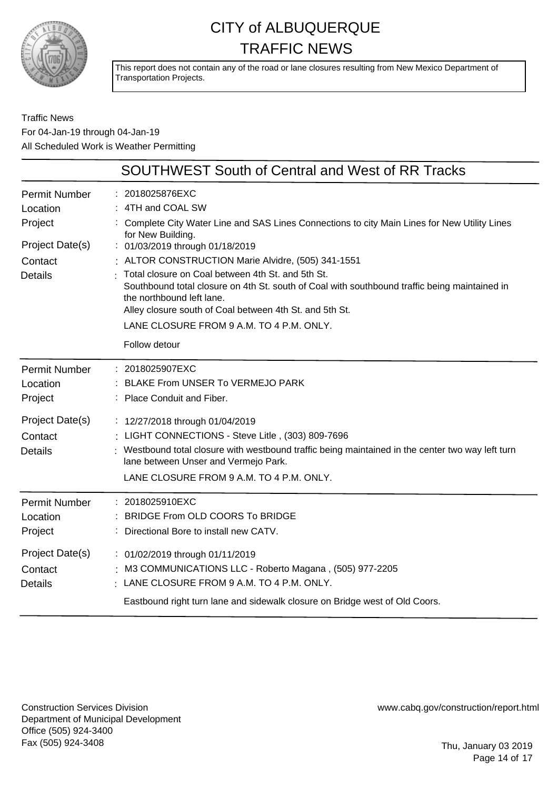

This report does not contain any of the road or lane closures resulting from New Mexico Department of Transportation Projects.

Traffic News For 04-Jan-19 through 04-Jan-19 All Scheduled Work is Weather Permitting

|                                              | SOUTHWEST South of Central and West of RR Tracks                                                                                                                                                                                                                                                                                                                                                 |
|----------------------------------------------|--------------------------------------------------------------------------------------------------------------------------------------------------------------------------------------------------------------------------------------------------------------------------------------------------------------------------------------------------------------------------------------------------|
| <b>Permit Number</b><br>Location<br>Project  | : 2018025876EXC<br>: 4TH and COAL SW<br>: Complete City Water Line and SAS Lines Connections to city Main Lines for New Utility Lines<br>for New Building.                                                                                                                                                                                                                                       |
| Project Date(s)<br>Contact<br><b>Details</b> | : 01/03/2019 through 01/18/2019<br>: ALTOR CONSTRUCTION Marie Alvidre, (505) 341-1551<br>Total closure on Coal between 4th St. and 5th St.<br>Southbound total closure on 4th St. south of Coal with southbound traffic being maintained in<br>the northbound left lane.<br>Alley closure south of Coal between 4th St. and 5th St.<br>LANE CLOSURE FROM 9 A.M. TO 4 P.M. ONLY.<br>Follow detour |
| <b>Permit Number</b><br>Location<br>Project  | : 2018025907EXC<br>: BLAKE From UNSER To VERMEJO PARK<br>: Place Conduit and Fiber.                                                                                                                                                                                                                                                                                                              |
| Project Date(s)<br>Contact<br><b>Details</b> | : 12/27/2018 through 01/04/2019<br>: LIGHT CONNECTIONS - Steve Litle, (303) 809-7696<br>Westbound total closure with westbound traffic being maintained in the center two way left turn<br>lane between Unser and Vermejo Park.<br>LANE CLOSURE FROM 9 A.M. TO 4 P.M. ONLY.                                                                                                                      |
| <b>Permit Number</b><br>Location<br>Project  | : 2018025910EXC<br>BRIDGE From OLD COORS To BRIDGE<br>: Directional Bore to install new CATV.                                                                                                                                                                                                                                                                                                    |
| Project Date(s)<br>Contact<br><b>Details</b> | : 01/02/2019 through 01/11/2019<br>M3 COMMUNICATIONS LLC - Roberto Magana, (505) 977-2205<br>$\frac{1}{2}$ LANE CLOSURE FROM 9 A.M. TO 4 P.M. ONLY.<br>Eastbound right turn lane and sidewalk closure on Bridge west of Old Coors.                                                                                                                                                               |

Construction Services Division Department of Municipal Development Office (505) 924-3400 Fax (505) 924-3408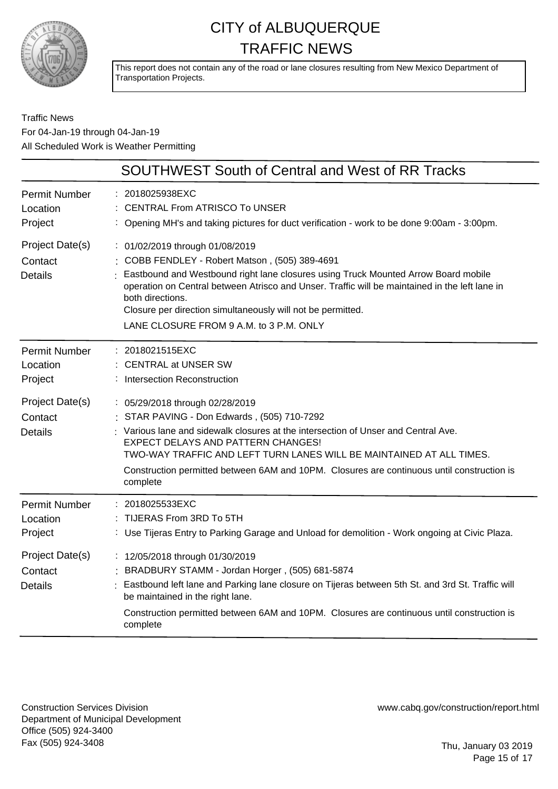

This report does not contain any of the road or lane closures resulting from New Mexico Department of Transportation Projects.

#### Traffic News For 04-Jan-19 through 04-Jan-19 All Scheduled Work is Weather Permitting

|                                              | <b>SOUTHWEST South of Central and West of RR Tracks</b>                                                                                                                                                                                                                                                                                                                                                   |
|----------------------------------------------|-----------------------------------------------------------------------------------------------------------------------------------------------------------------------------------------------------------------------------------------------------------------------------------------------------------------------------------------------------------------------------------------------------------|
| <b>Permit Number</b><br>Location<br>Project  | : 2018025938EXC<br><b>CENTRAL From ATRISCO To UNSER</b><br>: Opening MH's and taking pictures for duct verification - work to be done 9:00am - 3:00pm.                                                                                                                                                                                                                                                    |
| Project Date(s)<br>Contact<br><b>Details</b> | : 01/02/2019 through 01/08/2019<br>: COBB FENDLEY - Robert Matson, (505) 389-4691<br>: Eastbound and Westbound right lane closures using Truck Mounted Arrow Board mobile<br>operation on Central between Atrisco and Unser. Traffic will be maintained in the left lane in<br>both directions.<br>Closure per direction simultaneously will not be permitted.<br>LANE CLOSURE FROM 9 A.M. to 3 P.M. ONLY |
| <b>Permit Number</b><br>Location<br>Project  | : 2018021515EXC<br><b>CENTRAL at UNSER SW</b><br><b>Intersection Reconstruction</b>                                                                                                                                                                                                                                                                                                                       |
| Project Date(s)<br>Contact<br><b>Details</b> | : 05/29/2018 through 02/28/2019<br>: STAR PAVING - Don Edwards, (505) 710-7292<br>: Various lane and sidewalk closures at the intersection of Unser and Central Ave.<br>EXPECT DELAYS AND PATTERN CHANGES!<br>TWO-WAY TRAFFIC AND LEFT TURN LANES WILL BE MAINTAINED AT ALL TIMES.<br>Construction permitted between 6AM and 10PM. Closures are continuous until construction is<br>complete              |
| <b>Permit Number</b><br>Location<br>Project  | 2018025533EXC<br>TIJERAS From 3RD To 5TH<br>Use Tijeras Entry to Parking Garage and Unload for demolition - Work ongoing at Civic Plaza.                                                                                                                                                                                                                                                                  |
| Project Date(s)<br>Contact<br><b>Details</b> | : 12/05/2018 through 01/30/2019<br>BRADBURY STAMM - Jordan Horger, (505) 681-5874<br>Eastbound left lane and Parking lane closure on Tijeras between 5th St. and 3rd St. Traffic will<br>be maintained in the right lane.<br>Construction permitted between 6AM and 10PM. Closures are continuous until construction is<br>complete                                                                       |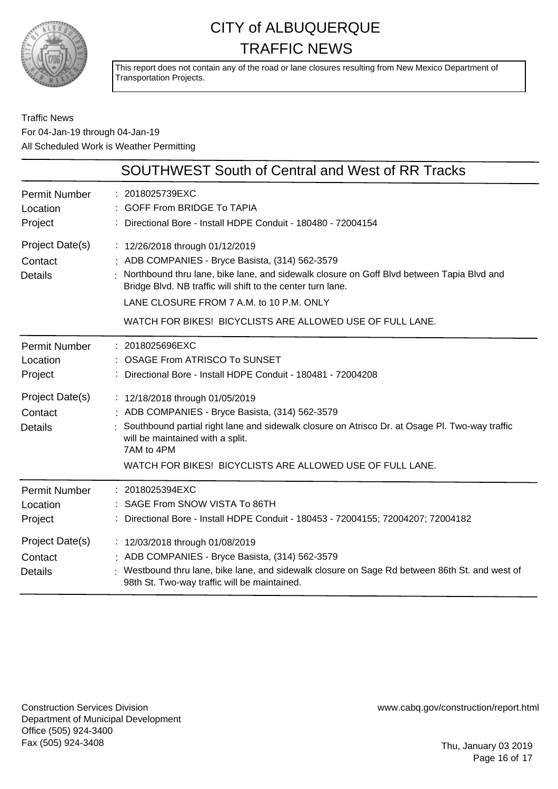

This report does not contain any of the road or lane closures resulting from New Mexico Department of Transportation Projects.

#### Traffic News For 04-Jan-19 through 04-Jan-19 All Scheduled Work is Weather Permitting

|                                              | <b>SOUTHWEST South of Central and West of RR Tracks</b>                                                                                                                                                                                                                                                                                                 |
|----------------------------------------------|---------------------------------------------------------------------------------------------------------------------------------------------------------------------------------------------------------------------------------------------------------------------------------------------------------------------------------------------------------|
| <b>Permit Number</b><br>Location<br>Project  | : 2018025739EXC<br><b>GOFF From BRIDGE To TAPIA</b><br>Directional Bore - Install HDPE Conduit - 180480 - 72004154                                                                                                                                                                                                                                      |
| Project Date(s)<br>Contact<br><b>Details</b> | : 12/26/2018 through 01/12/2019<br>: ADB COMPANIES - Bryce Basista, (314) 562-3579<br>Northbound thru lane, bike lane, and sidewalk closure on Goff Blvd between Tapia Blvd and<br>Bridge Blvd. NB traffic will shift to the center turn lane.<br>LANE CLOSURE FROM 7 A.M. to 10 P.M. ONLY<br>WATCH FOR BIKES! BICYCLISTS ARE ALLOWED USE OF FULL LANE. |
| <b>Permit Number</b><br>Location<br>Project  | : 2018025696EXC<br><b>OSAGE From ATRISCO To SUNSET</b><br>Directional Bore - Install HDPE Conduit - 180481 - 72004208                                                                                                                                                                                                                                   |
| Project Date(s)<br>Contact<br><b>Details</b> | : 12/18/2018 through 01/05/2019<br>: ADB COMPANIES - Bryce Basista, (314) 562-3579<br>Southbound partial right lane and sidewalk closure on Atrisco Dr. at Osage Pl. Two-way traffic<br>will be maintained with a split.<br>7AM to 4PM<br>WATCH FOR BIKES! BICYCLISTS ARE ALLOWED USE OF FULL LANE.                                                     |
| <b>Permit Number</b><br>Location<br>Project  | 2018025394EXC<br>SAGE From SNOW VISTA To 86TH<br>Directional Bore - Install HDPE Conduit - 180453 - 72004155; 72004207; 72004182                                                                                                                                                                                                                        |
| Project Date(s)<br>Contact<br><b>Details</b> | : 12/03/2018 through 01/08/2019<br>: ADB COMPANIES - Bryce Basista, (314) 562-3579<br>Westbound thru lane, bike lane, and sidewalk closure on Sage Rd between 86th St. and west of<br>98th St. Two-way traffic will be maintained.                                                                                                                      |